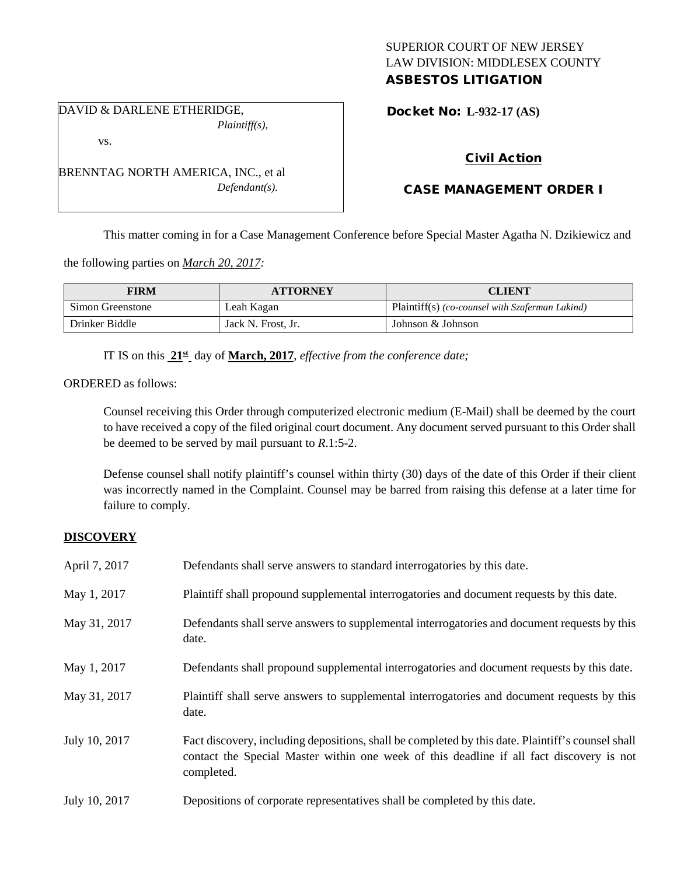## SUPERIOR COURT OF NEW JERSEY LAW DIVISION: MIDDLESEX COUNTY ASBESTOS LITIGATION

DAVID & DARLENE ETHERIDGE, *Plaintiff(s),*

vs.

BRENNTAG NORTH AMERICA, INC., et al *Defendant(s).*

Docket No: **L-932-17 (AS)** 

# Civil Action

# CASE MANAGEMENT ORDER I

This matter coming in for a Case Management Conference before Special Master Agatha N. Dzikiewicz and

the following parties on *March 20, 2017:*

| <b>FIRM</b>      | <b>ATTORNEY</b>    | <b>CLIENT</b>                                   |
|------------------|--------------------|-------------------------------------------------|
| Simon Greenstone | Leah Kagan         | Plaintiff(s) (co-counsel with Szaferman Lakind) |
| Drinker Biddle   | Jack N. Frost, Jr. | Johnson & Johnson                               |

IT IS on this **21st** day of **March, 2017**, *effective from the conference date;*

ORDERED as follows:

Counsel receiving this Order through computerized electronic medium (E-Mail) shall be deemed by the court to have received a copy of the filed original court document. Any document served pursuant to this Order shall be deemed to be served by mail pursuant to *R*.1:5-2.

Defense counsel shall notify plaintiff's counsel within thirty (30) days of the date of this Order if their client was incorrectly named in the Complaint. Counsel may be barred from raising this defense at a later time for failure to comply.

## **DISCOVERY**

| April 7, 2017 | Defendants shall serve answers to standard interrogatories by this date.                                                                                                                                    |
|---------------|-------------------------------------------------------------------------------------------------------------------------------------------------------------------------------------------------------------|
| May 1, 2017   | Plaintiff shall propound supplemental interrogatories and document requests by this date.                                                                                                                   |
| May 31, 2017  | Defendants shall serve answers to supplemental interrogatories and document requests by this<br>date.                                                                                                       |
| May 1, 2017   | Defendants shall propound supplemental interrogatories and document requests by this date.                                                                                                                  |
| May 31, 2017  | Plaintiff shall serve answers to supplemental interrogatories and document requests by this<br>date.                                                                                                        |
| July 10, 2017 | Fact discovery, including depositions, shall be completed by this date. Plaintiff's counsel shall<br>contact the Special Master within one week of this deadline if all fact discovery is not<br>completed. |
| July 10, 2017 | Depositions of corporate representatives shall be completed by this date.                                                                                                                                   |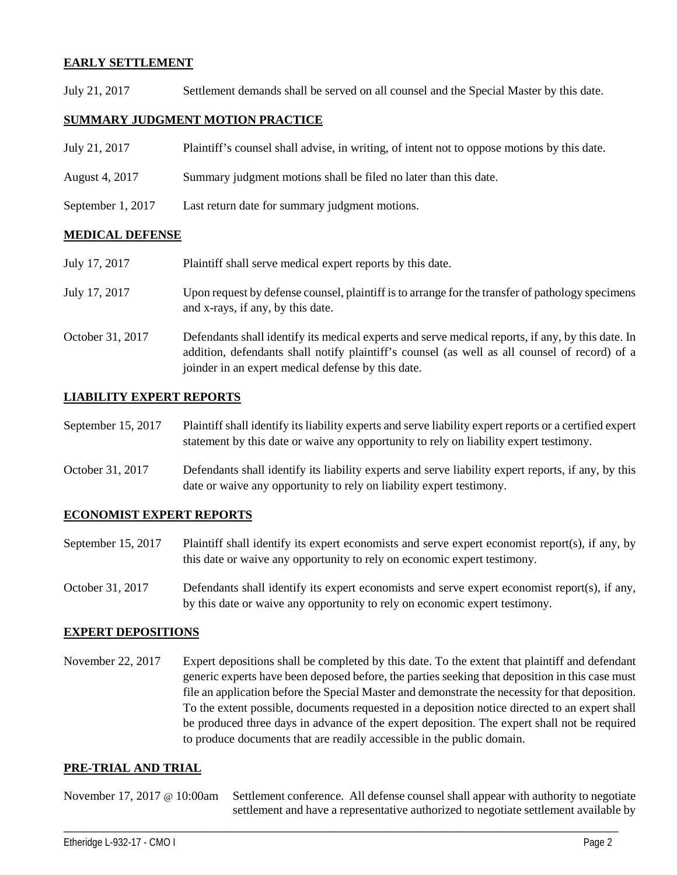## **EARLY SETTLEMENT**

July 21, 2017 Settlement demands shall be served on all counsel and the Special Master by this date.

## **SUMMARY JUDGMENT MOTION PRACTICE**

| July 21, 2017     | Plaintiff's counsel shall advise, in writing, of intent not to oppose motions by this date. |
|-------------------|---------------------------------------------------------------------------------------------|
| August 4, 2017    | Summary judgment motions shall be filed no later than this date.                            |
| September 1, 2017 | Last return date for summary judgment motions.                                              |

### **MEDICAL DEFENSE**

| July 17, 2017    | Plaintiff shall serve medical expert reports by this date.                                                                                                                                                                                               |
|------------------|----------------------------------------------------------------------------------------------------------------------------------------------------------------------------------------------------------------------------------------------------------|
| July 17, 2017    | Upon request by defense counsel, plaintiff is to arrange for the transfer of pathology specimens<br>and x-rays, if any, by this date.                                                                                                                    |
| October 31, 2017 | Defendants shall identify its medical experts and serve medical reports, if any, by this date. In<br>addition, defendants shall notify plaintiff's counsel (as well as all counsel of record) of a<br>joinder in an expert medical defense by this date. |

### **LIABILITY EXPERT REPORTS**

| September 15, 2017 | Plaintiff shall identify its liability experts and serve liability expert reports or a certified expert |
|--------------------|---------------------------------------------------------------------------------------------------------|
|                    | statement by this date or waive any opportunity to rely on liability expert testimony.                  |

October 31, 2017 Defendants shall identify its liability experts and serve liability expert reports, if any, by this date or waive any opportunity to rely on liability expert testimony.

#### **ECONOMIST EXPERT REPORTS**

- September 15, 2017 Plaintiff shall identify its expert economists and serve expert economist report(s), if any, by this date or waive any opportunity to rely on economic expert testimony.
- October 31, 2017 Defendants shall identify its expert economists and serve expert economist report(s), if any, by this date or waive any opportunity to rely on economic expert testimony.

#### **EXPERT DEPOSITIONS**

November 22, 2017 Expert depositions shall be completed by this date. To the extent that plaintiff and defendant generic experts have been deposed before, the parties seeking that deposition in this case must file an application before the Special Master and demonstrate the necessity for that deposition. To the extent possible, documents requested in a deposition notice directed to an expert shall be produced three days in advance of the expert deposition. The expert shall not be required to produce documents that are readily accessible in the public domain.

#### **PRE-TRIAL AND TRIAL**

November 17, 2017 @ 10:00am Settlement conference. All defense counsel shall appear with authority to negotiate settlement and have a representative authorized to negotiate settlement available by

\_\_\_\_\_\_\_\_\_\_\_\_\_\_\_\_\_\_\_\_\_\_\_\_\_\_\_\_\_\_\_\_\_\_\_\_\_\_\_\_\_\_\_\_\_\_\_\_\_\_\_\_\_\_\_\_\_\_\_\_\_\_\_\_\_\_\_\_\_\_\_\_\_\_\_\_\_\_\_\_\_\_\_\_\_\_\_\_\_\_\_\_\_\_\_\_\_\_\_\_\_\_\_\_\_\_\_\_\_\_